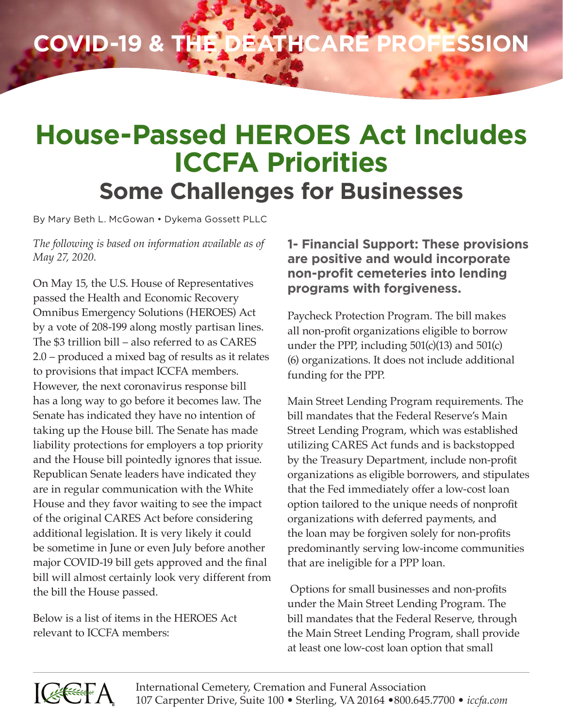## **COVID-19 & THE DEATHCARE PROFESSION**

### **House-Passed HEROES Act Includes ICCFA Priorities Some Challenges for Businesses**

By Mary Beth L. McGowan • Dykema Gossett PLLC

*The following is based on information available as of May 27, 2020.*

On May 15, the U.S. House of Representatives passed the Health and Economic Recovery Omnibus Emergency Solutions (HEROES) Act by a vote of 208-199 along mostly partisan lines. The \$3 trillion bill – also referred to as CARES 2.0 – produced a mixed bag of results as it relates to provisions that impact ICCFA members. However, the next coronavirus response bill has a long way to go before it becomes law. The Senate has indicated they have no intention of taking up the House bill. The Senate has made liability protections for employers a top priority and the House bill pointedly ignores that issue. Republican Senate leaders have indicated they are in regular communication with the White House and they favor waiting to see the impact of the original CARES Act before considering additional legislation. It is very likely it could be sometime in June or even July before another major COVID-19 bill gets approved and the final bill will almost certainly look very different from the bill the House passed.

Below is a list of items in the HEROES Act relevant to ICCFA members:

**1- Financial Support: These provisions are positive and would incorporate non-profit cemeteries into lending programs with forgiveness.**

Paycheck Protection Program. The bill makes all non-profit organizations eligible to borrow under the PPP, including  $501(c)(13)$  and  $501(c)$ (6) organizations. It does not include additional funding for the PPP.

Main Street Lending Program requirements. The bill mandates that the Federal Reserve's Main Street Lending Program, which was established utilizing CARES Act funds and is backstopped by the Treasury Department, include non-profit organizations as eligible borrowers, and stipulates that the Fed immediately offer a low-cost loan option tailored to the unique needs of nonprofit organizations with deferred payments, and the loan may be forgiven solely for non-profits predominantly serving low-income communities that are ineligible for a PPP loan.

 Options for small businesses and non-profits under the Main Street Lending Program. The bill mandates that the Federal Reserve, through the Main Street Lending Program, shall provide at least one low-cost loan option that small

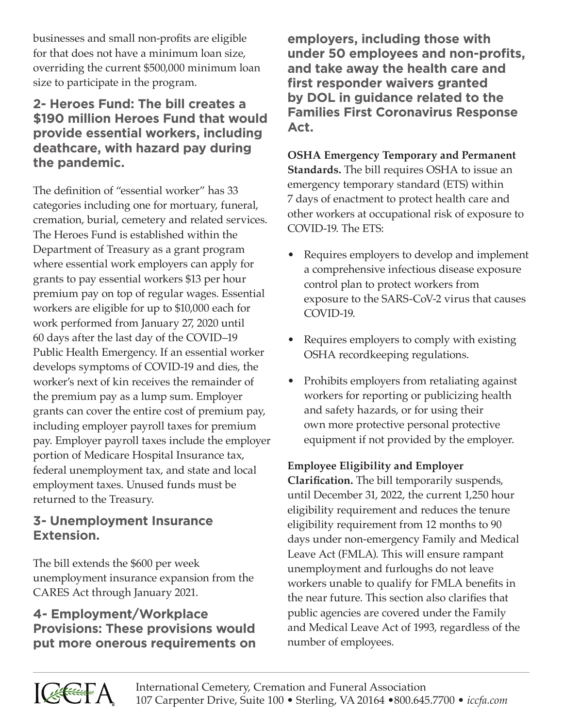businesses and small non-profits are eligible for that does not have a minimum loan size, overriding the current \$500,000 minimum loan size to participate in the program.

#### **2- Heroes Fund: The bill creates a \$190 million Heroes Fund that would provide essential workers, including deathcare, with hazard pay during the pandemic.**

The definition of "essential worker" has 33 categories including one for mortuary, funeral, cremation, burial, cemetery and related services. The Heroes Fund is established within the Department of Treasury as a grant program where essential work employers can apply for grants to pay essential workers \$13 per hour premium pay on top of regular wages. Essential workers are eligible for up to \$10,000 each for work performed from January 27, 2020 until 60 days after the last day of the COVID–19 Public Health Emergency. If an essential worker develops symptoms of COVID-19 and dies, the worker's next of kin receives the remainder of the premium pay as a lump sum. Employer grants can cover the entire cost of premium pay, including employer payroll taxes for premium pay. Employer payroll taxes include the employer portion of Medicare Hospital Insurance tax, federal unemployment tax, and state and local employment taxes. Unused funds must be returned to the Treasury.

#### **3- Unemployment Insurance Extension.**

The bill extends the \$600 per week unemployment insurance expansion from the CARES Act through January 2021.

#### **4- Employment/Workplace Provisions: These provisions would put more onerous requirements on**

**employers, including those with under 50 employees and non-profits, and take away the health care and first responder waivers granted by DOL in guidance related to the Families First Coronavirus Response Act.**

**OSHA Emergency Temporary and Permanent Standards.** The bill requires OSHA to issue an emergency temporary standard (ETS) within 7 days of enactment to protect health care and other workers at occupational risk of exposure to COVID-19. The ETS:

- Requires employers to develop and implement a comprehensive infectious disease exposure control plan to protect workers from exposure to the SARS-CoV-2 virus that causes COVID-19.
- Requires employers to comply with existing OSHA recordkeeping regulations.
- Prohibits employers from retaliating against workers for reporting or publicizing health and safety hazards, or for using their own more protective personal protective equipment if not provided by the employer.

#### **Employee Eligibility and Employer**

**Clarification.** The bill temporarily suspends, until December 31, 2022, the current 1,250 hour eligibility requirement and reduces the tenure eligibility requirement from 12 months to 90 days under non-emergency Family and Medical Leave Act (FMLA). This will ensure rampant unemployment and furloughs do not leave workers unable to qualify for FMLA benefits in the near future. This section also clarifies that public agencies are covered under the Family and Medical Leave Act of 1993, regardless of the number of employees.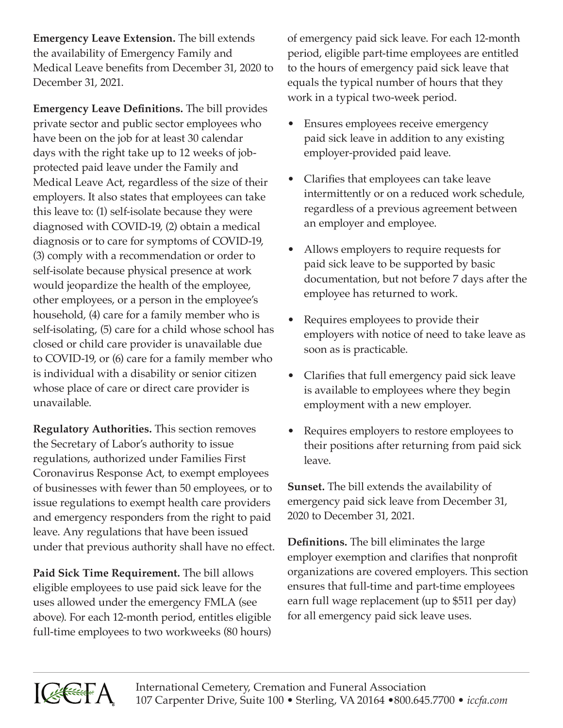**Emergency Leave Extension.** The bill extends the availability of Emergency Family and Medical Leave benefits from December 31, 2020 to December 31, 2021.

**Emergency Leave Definitions.** The bill provides private sector and public sector employees who have been on the job for at least 30 calendar days with the right take up to 12 weeks of jobprotected paid leave under the Family and Medical Leave Act, regardless of the size of their employers. It also states that employees can take this leave to: (1) self-isolate because they were diagnosed with COVID-19, (2) obtain a medical diagnosis or to care for symptoms of COVID-19, (3) comply with a recommendation or order to self-isolate because physical presence at work would jeopardize the health of the employee, other employees, or a person in the employee's household, (4) care for a family member who is self-isolating, (5) care for a child whose school has closed or child care provider is unavailable due to COVID-19, or (6) care for a family member who is individual with a disability or senior citizen whose place of care or direct care provider is unavailable.

**Regulatory Authorities.** This section removes the Secretary of Labor's authority to issue regulations, authorized under Families First Coronavirus Response Act, to exempt employees of businesses with fewer than 50 employees, or to issue regulations to exempt health care providers and emergency responders from the right to paid leave. Any regulations that have been issued under that previous authority shall have no effect.

**Paid Sick Time Requirement.** The bill allows eligible employees to use paid sick leave for the uses allowed under the emergency FMLA (see above). For each 12-month period, entitles eligible full-time employees to two workweeks (80 hours) of emergency paid sick leave. For each 12-month period, eligible part-time employees are entitled to the hours of emergency paid sick leave that equals the typical number of hours that they work in a typical two-week period.

- Ensures employees receive emergency paid sick leave in addition to any existing employer-provided paid leave.
- Clarifies that employees can take leave intermittently or on a reduced work schedule, regardless of a previous agreement between an employer and employee.
- Allows employers to require requests for paid sick leave to be supported by basic documentation, but not before 7 days after the employee has returned to work.
- Requires employees to provide their employers with notice of need to take leave as soon as is practicable.
- Clarifies that full emergency paid sick leave is available to employees where they begin employment with a new employer.
- Requires employers to restore employees to their positions after returning from paid sick leave.

**Sunset.** The bill extends the availability of emergency paid sick leave from December 31, 2020 to December 31, 2021.

**Definitions.** The bill eliminates the large employer exemption and clarifies that nonprofit organizations are covered employers. This section ensures that full-time and part-time employees earn full wage replacement (up to \$511 per day) for all emergency paid sick leave uses.